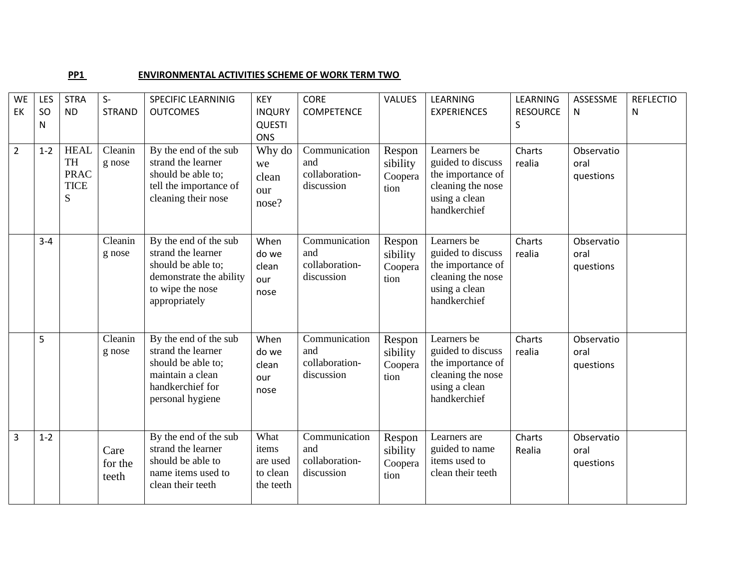## **PP1** ENVIRONMENTAL ACTIVITIES SCHEME OF WORK TERM TWO

| <b>WE</b>      | LES     | <b>STRA</b>                                                 | $S-$                     | <b>SPECIFIC LEARNINIG</b>                                                                                                         | <b>KEY</b>                                          | <b>CORE</b>                                          | <b>VALUES</b>                         | LEARNING                                                                                                    | LEARNING         | ASSESSME                        | <b>REFLECTIO</b> |
|----------------|---------|-------------------------------------------------------------|--------------------------|-----------------------------------------------------------------------------------------------------------------------------------|-----------------------------------------------------|------------------------------------------------------|---------------------------------------|-------------------------------------------------------------------------------------------------------------|------------------|---------------------------------|------------------|
| EK             | SO      | <b>ND</b>                                                   | <b>STRAND</b>            | <b>OUTCOMES</b>                                                                                                                   | <b>INQURY</b>                                       | <b>COMPETENCE</b>                                    |                                       | <b>EXPERIENCES</b>                                                                                          | <b>RESOURCE</b>  | N                               | N                |
|                | N       |                                                             |                          |                                                                                                                                   | <b>QUESTI</b>                                       |                                                      |                                       |                                                                                                             | S                |                                 |                  |
| $\overline{2}$ | $1 - 2$ | <b>HEAL</b><br><b>TH</b><br><b>PRAC</b><br><b>TICE</b><br>S | Cleanin<br>g nose        | By the end of the sub<br>strand the learner<br>should be able to;<br>tell the importance of<br>cleaning their nose                | <b>ONS</b><br>Why do<br>we<br>clean<br>our<br>nose? | Communication<br>and<br>collaboration-<br>discussion | Respon<br>sibility<br>Coopera<br>tion | Learners be<br>guided to discuss<br>the importance of<br>cleaning the nose<br>using a clean<br>handkerchief | Charts<br>realia | Observatio<br>oral<br>questions |                  |
|                | $3 - 4$ |                                                             | Cleanin<br>g nose        | By the end of the sub<br>strand the learner<br>should be able to;<br>demonstrate the ability<br>to wipe the nose<br>appropriately | When<br>do we<br>clean<br>our<br>nose               | Communication<br>and<br>collaboration-<br>discussion | Respon<br>sibility<br>Coopera<br>tion | Learners be<br>guided to discuss<br>the importance of<br>cleaning the nose<br>using a clean<br>handkerchief | Charts<br>realia | Observatio<br>oral<br>questions |                  |
|                | 5       |                                                             | Cleanin<br>g nose        | By the end of the sub<br>strand the learner<br>should be able to;<br>maintain a clean<br>handkerchief for<br>personal hygiene     | When<br>do we<br>clean<br>our<br>nose               | Communication<br>and<br>collaboration-<br>discussion | Respon<br>sibility<br>Coopera<br>tion | Learners be<br>guided to discuss<br>the importance of<br>cleaning the nose<br>using a clean<br>handkerchief | Charts<br>realia | Observatio<br>oral<br>questions |                  |
| $\overline{3}$ | $1 - 2$ |                                                             | Care<br>for the<br>teeth | By the end of the sub<br>strand the learner<br>should be able to<br>name items used to<br>clean their teeth                       | What<br>items<br>are used<br>to clean<br>the teeth  | Communication<br>and<br>collaboration-<br>discussion | Respon<br>sibility<br>Coopera<br>tion | Learners are<br>guided to name<br>items used to<br>clean their teeth                                        | Charts<br>Realia | Observatio<br>oral<br>questions |                  |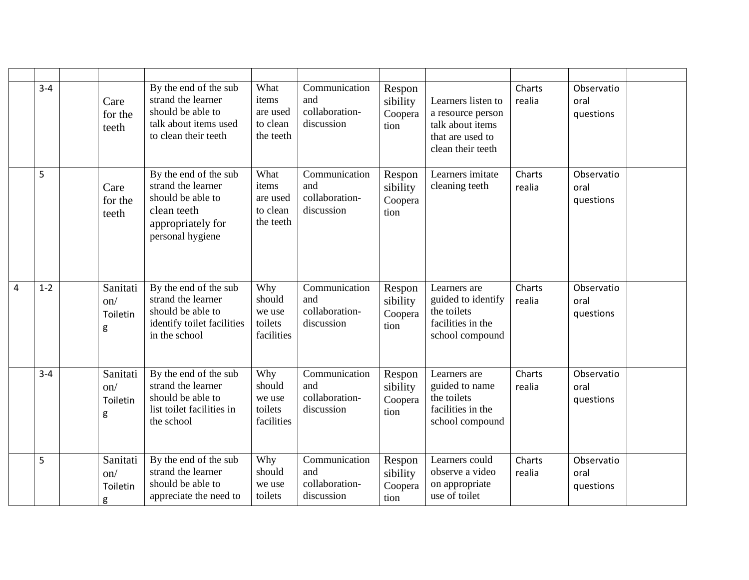|                | $3 - 4$ | Care<br>for the<br>teeth              | By the end of the sub<br>strand the learner<br>should be able to<br>talk about items used<br>to clean their teeth        | What<br>items<br>are used<br>to clean<br>the teeth | Communication<br>and<br>collaboration-<br>discussion | Respon<br>sibility<br>Coopera<br>tion | Learners listen to<br>a resource person<br>talk about items<br>that are used to<br>clean their teeth | Charts<br>realia | Observatio<br>oral<br>questions |  |
|----------------|---------|---------------------------------------|--------------------------------------------------------------------------------------------------------------------------|----------------------------------------------------|------------------------------------------------------|---------------------------------------|------------------------------------------------------------------------------------------------------|------------------|---------------------------------|--|
|                | 5       | Care<br>for the<br>teeth              | By the end of the sub<br>strand the learner<br>should be able to<br>clean teeth<br>appropriately for<br>personal hygiene | What<br>items<br>are used<br>to clean<br>the teeth | Communication<br>and<br>collaboration-<br>discussion | Respon<br>sibility<br>Coopera<br>tion | Learners imitate<br>cleaning teeth                                                                   | Charts<br>realia | Observatio<br>oral<br>questions |  |
| $\overline{4}$ | $1 - 2$ | Sanitati<br>$\Omega$<br>Toiletin<br>g | By the end of the sub<br>strand the learner<br>should be able to<br>identify toilet facilities<br>in the school          | Why<br>should<br>we use<br>toilets<br>facilities   | Communication<br>and<br>collaboration-<br>discussion | Respon<br>sibility<br>Coopera<br>tion | Learners are<br>guided to identify<br>the toilets<br>facilities in the<br>school compound            | Charts<br>realia | Observatio<br>oral<br>questions |  |
|                | $3 - 4$ | Sanitati<br>$\Omega$<br>Toiletin<br>g | By the end of the sub<br>strand the learner<br>should be able to<br>list toilet facilities in<br>the school              | Why<br>should<br>we use<br>toilets<br>facilities   | Communication<br>and<br>collaboration-<br>discussion | Respon<br>sibility<br>Coopera<br>tion | Learners are<br>guided to name<br>the toilets<br>facilities in the<br>school compound                | Charts<br>realia | Observatio<br>oral<br>questions |  |
|                | 5       | Sanitati<br>on/<br>Toiletin<br>g      | By the end of the sub<br>strand the learner<br>should be able to<br>appreciate the need to                               | Why<br>should<br>we use<br>toilets                 | Communication<br>and<br>collaboration-<br>discussion | Respon<br>sibility<br>Coopera<br>tion | Learners could<br>observe a video<br>on appropriate<br>use of toilet                                 | Charts<br>realia | Observatio<br>oral<br>questions |  |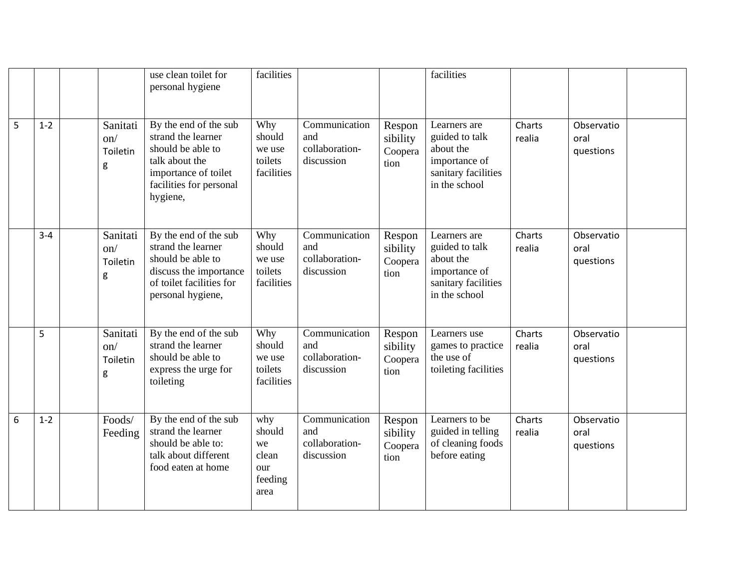|   |         |                                  | use clean toilet for<br>personal hygiene                                                                                                          | facilities                                             |                                                      |                                       | facilities                                                                                           |                  |                                 |  |
|---|---------|----------------------------------|---------------------------------------------------------------------------------------------------------------------------------------------------|--------------------------------------------------------|------------------------------------------------------|---------------------------------------|------------------------------------------------------------------------------------------------------|------------------|---------------------------------|--|
| 5 | $1 - 2$ | Sanitati<br>on/<br>Toiletin<br>g | By the end of the sub<br>strand the learner<br>should be able to<br>talk about the<br>importance of toilet<br>facilities for personal<br>hygiene, | Why<br>should<br>we use<br>toilets<br>facilities       | Communication<br>and<br>collaboration-<br>discussion | Respon<br>sibility<br>Coopera<br>tion | Learners are<br>guided to talk<br>about the<br>importance of<br>sanitary facilities<br>in the school | Charts<br>realia | Observatio<br>oral<br>questions |  |
|   | $3 - 4$ | Sanitati<br>on/<br>Toiletin<br>g | By the end of the sub<br>strand the learner<br>should be able to<br>discuss the importance<br>of toilet facilities for<br>personal hygiene,       | Why<br>should<br>we use<br>toilets<br>facilities       | Communication<br>and<br>collaboration-<br>discussion | Respon<br>sibility<br>Coopera<br>tion | Learners are<br>guided to talk<br>about the<br>importance of<br>sanitary facilities<br>in the school | Charts<br>realia | Observatio<br>oral<br>questions |  |
|   | 5       | Sanitati<br>on/<br>Toiletin<br>g | By the end of the sub<br>strand the learner<br>should be able to<br>express the urge for<br>toileting                                             | Why<br>should<br>we use<br>toilets<br>facilities       | Communication<br>and<br>collaboration-<br>discussion | Respon<br>sibility<br>Coopera<br>tion | Learners use<br>games to practice<br>the use of<br>toileting facilities                              | Charts<br>realia | Observatio<br>oral<br>questions |  |
| 6 | $1 - 2$ | Foods/<br>Feeding                | By the end of the sub<br>strand the learner<br>should be able to:<br>talk about different<br>food eaten at home                                   | why<br>should<br>we<br>clean<br>our<br>feeding<br>area | Communication<br>and<br>collaboration-<br>discussion | Respon<br>sibility<br>Coopera<br>tion | Learners to be<br>guided in telling<br>of cleaning foods<br>before eating                            | Charts<br>realia | Observatio<br>oral<br>questions |  |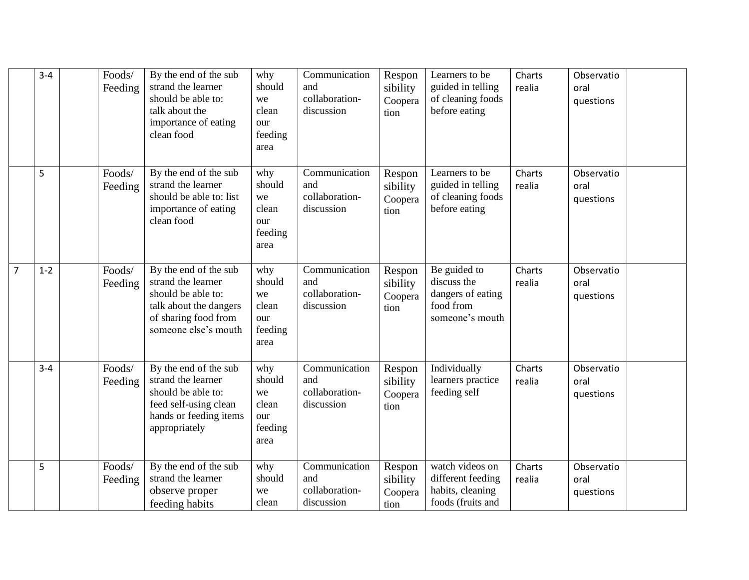|                | $3 - 4$ | Foods/<br>Feeding | By the end of the sub<br>strand the learner<br>should be able to:<br>talk about the<br>importance of eating<br>clean food                   | why<br>should<br>we<br>clean<br>our<br>feeding<br>area | Communication<br>and<br>collaboration-<br>discussion | Respon<br>sibility<br>Coopera<br>tion | Learners to be<br>guided in telling<br>of cleaning foods<br>before eating        | Charts<br>realia | Observatio<br>oral<br>questions |  |
|----------------|---------|-------------------|---------------------------------------------------------------------------------------------------------------------------------------------|--------------------------------------------------------|------------------------------------------------------|---------------------------------------|----------------------------------------------------------------------------------|------------------|---------------------------------|--|
|                | 5       | Foods/<br>Feeding | By the end of the sub<br>strand the learner<br>should be able to: list<br>importance of eating<br>clean food                                | why<br>should<br>we<br>clean<br>our<br>feeding<br>area | Communication<br>and<br>collaboration-<br>discussion | Respon<br>sibility<br>Coopera<br>tion | Learners to be<br>guided in telling<br>of cleaning foods<br>before eating        | Charts<br>realia | Observatio<br>oral<br>questions |  |
| $\overline{7}$ | $1 - 2$ | Foods/<br>Feeding | By the end of the sub<br>strand the learner<br>should be able to:<br>talk about the dangers<br>of sharing food from<br>someone else's mouth | why<br>should<br>we<br>clean<br>our<br>feeding<br>area | Communication<br>and<br>collaboration-<br>discussion | Respon<br>sibility<br>Coopera<br>tion | Be guided to<br>discuss the<br>dangers of eating<br>food from<br>someone's mouth | Charts<br>realia | Observatio<br>oral<br>questions |  |
|                | $3 - 4$ | Foods/<br>Feeding | By the end of the sub<br>strand the learner<br>should be able to:<br>feed self-using clean<br>hands or feeding items<br>appropriately       | why<br>should<br>we<br>clean<br>our<br>feeding<br>area | Communication<br>and<br>collaboration-<br>discussion | Respon<br>sibility<br>Coopera<br>tion | Individually<br>learners practice<br>feeding self                                | Charts<br>realia | Observatio<br>oral<br>questions |  |
|                | 5       | Foods/<br>Feeding | By the end of the sub<br>strand the learner<br>observe proper<br>feeding habits                                                             | why<br>should<br>we<br>clean                           | Communication<br>and<br>collaboration-<br>discussion | Respon<br>sibility<br>Coopera<br>tion | watch videos on<br>different feeding<br>habits, cleaning<br>foods (fruits and    | Charts<br>realia | Observatio<br>oral<br>questions |  |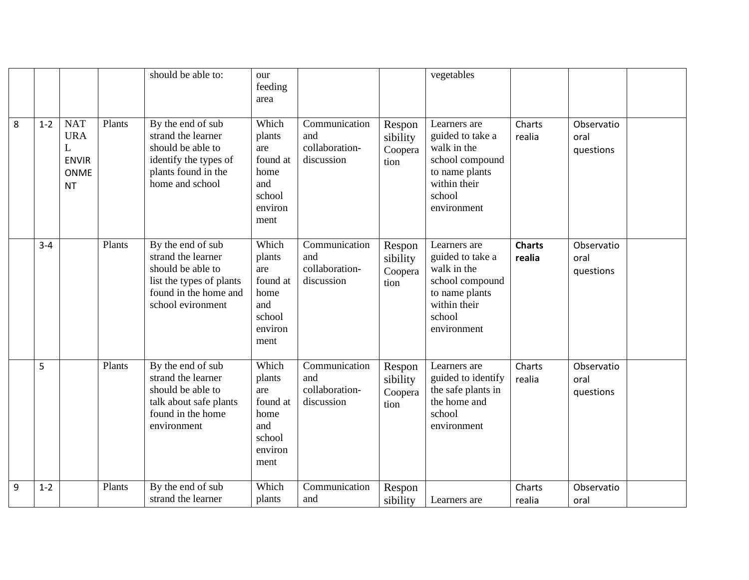|   |         |                                                                           |        | should be able to:                                                                                                                     | our<br>feeding<br>area                                                         |                                                      |                                       | vegetables                                                                                                                    |                         |                                 |  |
|---|---------|---------------------------------------------------------------------------|--------|----------------------------------------------------------------------------------------------------------------------------------------|--------------------------------------------------------------------------------|------------------------------------------------------|---------------------------------------|-------------------------------------------------------------------------------------------------------------------------------|-------------------------|---------------------------------|--|
| 8 | $1 - 2$ | <b>NAT</b><br><b>URA</b><br>L<br><b>ENVIR</b><br><b>ONME</b><br><b>NT</b> | Plants | By the end of sub<br>strand the learner<br>should be able to<br>identify the types of<br>plants found in the<br>home and school        | Which<br>plants<br>are<br>found at<br>home<br>and<br>school<br>environ<br>ment | Communication<br>and<br>collaboration-<br>discussion | Respon<br>sibility<br>Coopera<br>tion | Learners are<br>guided to take a<br>walk in the<br>school compound<br>to name plants<br>within their<br>school<br>environment | Charts<br>realia        | Observatio<br>oral<br>questions |  |
|   | $3 - 4$ |                                                                           | Plants | By the end of sub<br>strand the learner<br>should be able to<br>list the types of plants<br>found in the home and<br>school evironment | Which<br>plants<br>are<br>found at<br>home<br>and<br>school<br>environ<br>ment | Communication<br>and<br>collaboration-<br>discussion | Respon<br>sibility<br>Coopera<br>tion | Learners are<br>guided to take a<br>walk in the<br>school compound<br>to name plants<br>within their<br>school<br>environment | <b>Charts</b><br>realia | Observatio<br>oral<br>questions |  |
|   | 5       |                                                                           | Plants | By the end of sub<br>strand the learner<br>should be able to<br>talk about safe plants<br>found in the home<br>environment             | Which<br>plants<br>are<br>found at<br>home<br>and<br>school<br>environ<br>ment | Communication<br>and<br>collaboration-<br>discussion | Respon<br>sibility<br>Coopera<br>tion | Learners are<br>guided to identify<br>the safe plants in<br>the home and<br>school<br>environment                             | Charts<br>realia        | Observatio<br>oral<br>questions |  |
| 9 | $1 - 2$ |                                                                           | Plants | By the end of sub<br>strand the learner                                                                                                | Which<br>plants                                                                | Communication<br>and                                 | Respon<br>sibility                    | Learners are                                                                                                                  | Charts<br>realia        | Observatio<br>oral              |  |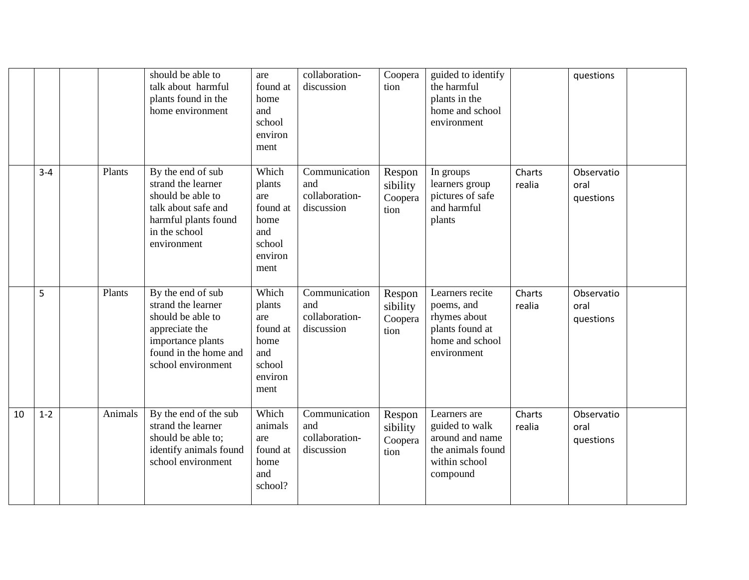|    |         |         | should be able to<br>talk about harmful<br>plants found in the<br>home environment                                                                 | are<br>found at<br>home<br>and<br>school<br>environ<br>ment                    | collaboration-<br>discussion                         | Coopera<br>tion                       | guided to identify<br>the harmful<br>plants in the<br>home and school<br>environment                |                  | questions                       |  |
|----|---------|---------|----------------------------------------------------------------------------------------------------------------------------------------------------|--------------------------------------------------------------------------------|------------------------------------------------------|---------------------------------------|-----------------------------------------------------------------------------------------------------|------------------|---------------------------------|--|
|    | $3 - 4$ | Plants  | By the end of sub<br>strand the learner<br>should be able to<br>talk about safe and<br>harmful plants found<br>in the school<br>environment        | Which<br>plants<br>are<br>found at<br>home<br>and<br>school<br>environ<br>ment | Communication<br>and<br>collaboration-<br>discussion | Respon<br>sibility<br>Coopera<br>tion | In groups<br>learners group<br>pictures of safe<br>and harmful<br>plants                            | Charts<br>realia | Observatio<br>oral<br>questions |  |
|    | 5       | Plants  | By the end of sub<br>strand the learner<br>should be able to<br>appreciate the<br>importance plants<br>found in the home and<br>school environment | Which<br>plants<br>are<br>found at<br>home<br>and<br>school<br>environ<br>ment | Communication<br>and<br>collaboration-<br>discussion | Respon<br>sibility<br>Coopera<br>tion | Learners recite<br>poems, and<br>rhymes about<br>plants found at<br>home and school<br>environment  | Charts<br>realia | Observatio<br>oral<br>questions |  |
| 10 | $1 - 2$ | Animals | By the end of the sub<br>strand the learner<br>should be able to;<br>identify animals found<br>school environment                                  | Which<br>animals<br>are<br>found at<br>home<br>and<br>school?                  | Communication<br>and<br>collaboration-<br>discussion | Respon<br>sibility<br>Coopera<br>tion | Learners are<br>guided to walk<br>around and name<br>the animals found<br>within school<br>compound | Charts<br>realia | Observatio<br>oral<br>questions |  |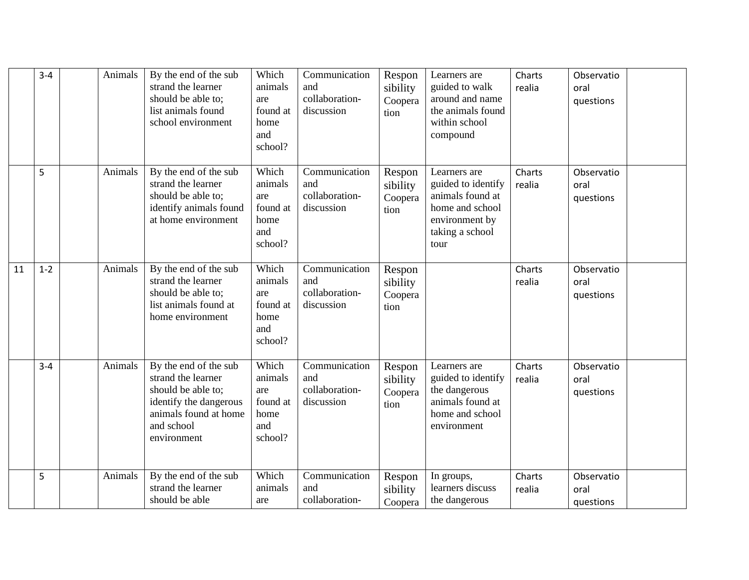|    | $3 - 4$ | Animals | By the end of the sub<br>strand the learner<br>should be able to;<br>list animals found<br>school environment                                     | Which<br>animals<br>are<br>found at<br>home<br>and<br>school? | Communication<br>and<br>collaboration-<br>discussion | Respon<br>sibility<br>Coopera<br>tion | Learners are<br>guided to walk<br>around and name<br>the animals found<br>within school<br>compound                    | Charts<br>realia | Observatio<br>oral<br>questions |  |
|----|---------|---------|---------------------------------------------------------------------------------------------------------------------------------------------------|---------------------------------------------------------------|------------------------------------------------------|---------------------------------------|------------------------------------------------------------------------------------------------------------------------|------------------|---------------------------------|--|
|    | 5       | Animals | By the end of the sub<br>strand the learner<br>should be able to;<br>identify animals found<br>at home environment                                | Which<br>animals<br>are<br>found at<br>home<br>and<br>school? | Communication<br>and<br>collaboration-<br>discussion | Respon<br>sibility<br>Coopera<br>tion | Learners are<br>guided to identify<br>animals found at<br>home and school<br>environment by<br>taking a school<br>tour | Charts<br>realia | Observatio<br>oral<br>questions |  |
| 11 | $1-2$   | Animals | By the end of the sub<br>strand the learner<br>should be able to;<br>list animals found at<br>home environment                                    | Which<br>animals<br>are<br>found at<br>home<br>and<br>school? | Communication<br>and<br>collaboration-<br>discussion | Respon<br>sibility<br>Coopera<br>tion |                                                                                                                        | Charts<br>realia | Observatio<br>oral<br>questions |  |
|    | $3 - 4$ | Animals | By the end of the sub<br>strand the learner<br>should be able to;<br>identify the dangerous<br>animals found at home<br>and school<br>environment | Which<br>animals<br>are<br>found at<br>home<br>and<br>school? | Communication<br>and<br>collaboration-<br>discussion | Respon<br>sibility<br>Coopera<br>tion | Learners are<br>guided to identify<br>the dangerous<br>animals found at<br>home and school<br>environment              | Charts<br>realia | Observatio<br>oral<br>questions |  |
|    | 5       | Animals | By the end of the sub<br>strand the learner<br>should be able                                                                                     | Which<br>animals<br>are                                       | Communication<br>and<br>collaboration-               | Respon<br>sibility<br>Coopera         | In groups,<br>learners discuss<br>the dangerous                                                                        | Charts<br>realia | Observatio<br>oral<br>questions |  |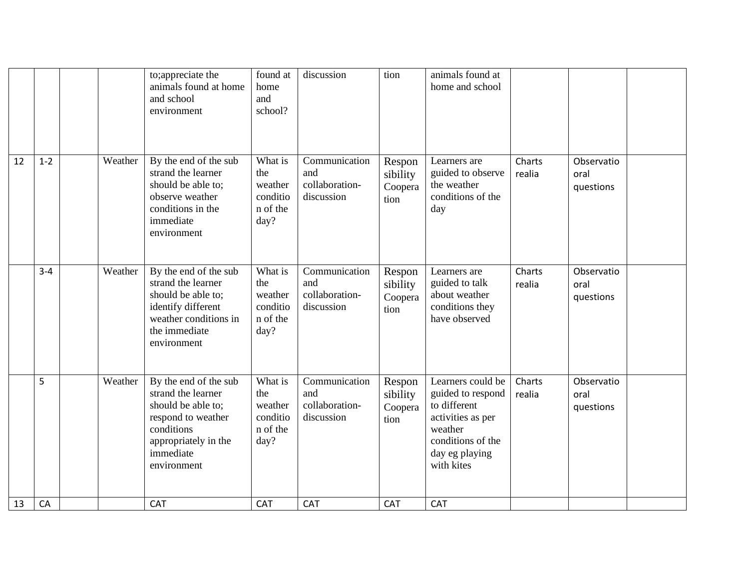|    |         |         | to; appreciate the<br>animals found at home<br>and school<br>environment                                                                                  | found at<br>home<br>and<br>school?                        | discussion                                           | tion                                  | animals found at<br>home and school                                                                                                         |                  |                                 |  |
|----|---------|---------|-----------------------------------------------------------------------------------------------------------------------------------------------------------|-----------------------------------------------------------|------------------------------------------------------|---------------------------------------|---------------------------------------------------------------------------------------------------------------------------------------------|------------------|---------------------------------|--|
| 12 | $1 - 2$ | Weather | By the end of the sub<br>strand the learner<br>should be able to;<br>observe weather<br>conditions in the<br>immediate<br>environment                     | What is<br>the<br>weather<br>conditio<br>n of the<br>day? | Communication<br>and<br>collaboration-<br>discussion | Respon<br>sibility<br>Coopera<br>tion | Learners are<br>guided to observe<br>the weather<br>conditions of the<br>day                                                                | Charts<br>realia | Observatio<br>oral<br>questions |  |
|    | $3 - 4$ | Weather | By the end of the sub<br>strand the learner<br>should be able to;<br>identify different<br>weather conditions in<br>the immediate<br>environment          | What is<br>the<br>weather<br>conditio<br>n of the<br>day? | Communication<br>and<br>collaboration-<br>discussion | Respon<br>sibility<br>Coopera<br>tion | Learners are<br>guided to talk<br>about weather<br>conditions they<br>have observed                                                         | Charts<br>realia | Observatio<br>oral<br>questions |  |
|    | 5       | Weather | By the end of the sub<br>strand the learner<br>should be able to;<br>respond to weather<br>conditions<br>appropriately in the<br>immediate<br>environment | What is<br>the<br>weather<br>conditio<br>n of the<br>day? | Communication<br>and<br>collaboration-<br>discussion | Respon<br>sibility<br>Coopera<br>tion | Learners could be<br>guided to respond<br>to different<br>activities as per<br>weather<br>conditions of the<br>day eg playing<br>with kites | Charts<br>realia | Observatio<br>oral<br>questions |  |
| 13 | CA      |         | CAT                                                                                                                                                       | CAT                                                       | CAT                                                  | CAT                                   | CAT                                                                                                                                         |                  |                                 |  |